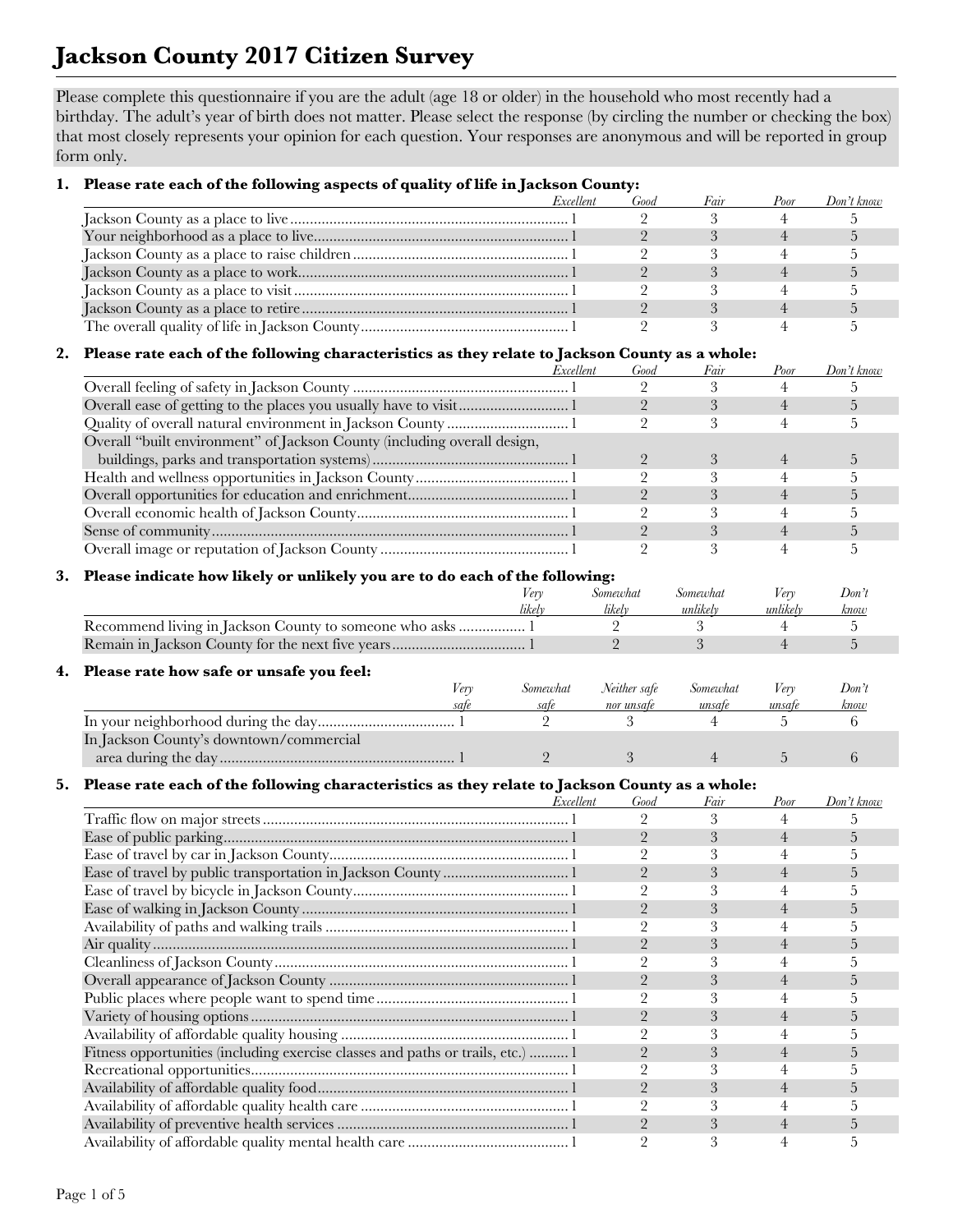# **Jackson County 2017 Citizen Survey**

Please complete this questionnaire if you are the adult (age 18 or older) in the household who most recently had a birthday. The adult's year of birth does not matter. Please select the response (by circling the number or checking the box) that most closely represents your opinion for each question. Your responses are anonymous and will be reported in group form only.

### **1. Please rate each of the following aspects of quality of life in Jackson County:**

| Excellent | Good | Fair | Poor | Don't know |
|-----------|------|------|------|------------|
|           |      |      |      |            |
|           |      |      |      |            |
|           |      |      |      |            |
|           |      |      |      |            |
|           |      |      |      |            |
|           |      |      |      |            |
|           |      |      |      |            |

### **2. Please rate each of the following characteristics as they relate to Jackson County as a whole:**

| Excellent                                                                | Good | Fair | Poor | Don't know |
|--------------------------------------------------------------------------|------|------|------|------------|
|                                                                          |      |      |      |            |
|                                                                          |      |      |      |            |
|                                                                          |      |      |      |            |
| Overall "built environment" of Jackson County (including overall design, |      |      |      |            |
|                                                                          |      |      |      |            |
|                                                                          |      |      |      |            |
|                                                                          |      |      |      |            |
|                                                                          |      |      |      |            |
|                                                                          |      |      |      |            |
|                                                                          |      |      |      |            |

### **3. Please indicate how likely or unlikely you are to do each of the following:**

| verv  | Somewhat | Somewhat | verv     | Doni |
|-------|----------|----------|----------|------|
| likel | lıkelv   | unlikely | unlikely | know |
|       |          |          |          |      |
|       |          |          |          |      |

### **4. Please rate how safe or unsafe you feel:**

|                                         | verv | Somewhat | Neither safe | Somewhat | Very   | Don't |
|-----------------------------------------|------|----------|--------------|----------|--------|-------|
|                                         | sate | sate     | nor unsate   | unsate   | unsate | know  |
|                                         |      |          |              |          |        |       |
| In Jackson County's downtown/commercial |      |          |              |          |        |       |
|                                         |      |          |              |          |        |       |

### **5. Please rate each of the following characteristics as they relate to Jackson County as a whole:**

| Excellent                                                                       | Good           | Fair | Poor | Don't know     |
|---------------------------------------------------------------------------------|----------------|------|------|----------------|
|                                                                                 | 2              | 3    |      |                |
|                                                                                 |                | 3    | 4    |                |
|                                                                                 |                |      |      |                |
|                                                                                 | $\mathcal{P}$  | 3    | 4    |                |
|                                                                                 |                |      |      |                |
|                                                                                 |                | 3    | 4    |                |
|                                                                                 |                |      |      |                |
|                                                                                 |                | 3    | 4    |                |
|                                                                                 |                |      |      |                |
|                                                                                 |                | 3    | 4    | $\mathfrak{D}$ |
|                                                                                 |                |      |      |                |
|                                                                                 |                | 3    | 4    |                |
|                                                                                 |                |      |      |                |
| Fitness opportunities (including exercise classes and paths or trails, etc.)  1 |                | 3    | 4    |                |
|                                                                                 |                |      |      |                |
|                                                                                 |                | 3    | 4    |                |
|                                                                                 | $\overline{2}$ |      |      |                |
|                                                                                 |                | 3    | 4    | $\mathcal{L}$  |
|                                                                                 | 2              |      |      |                |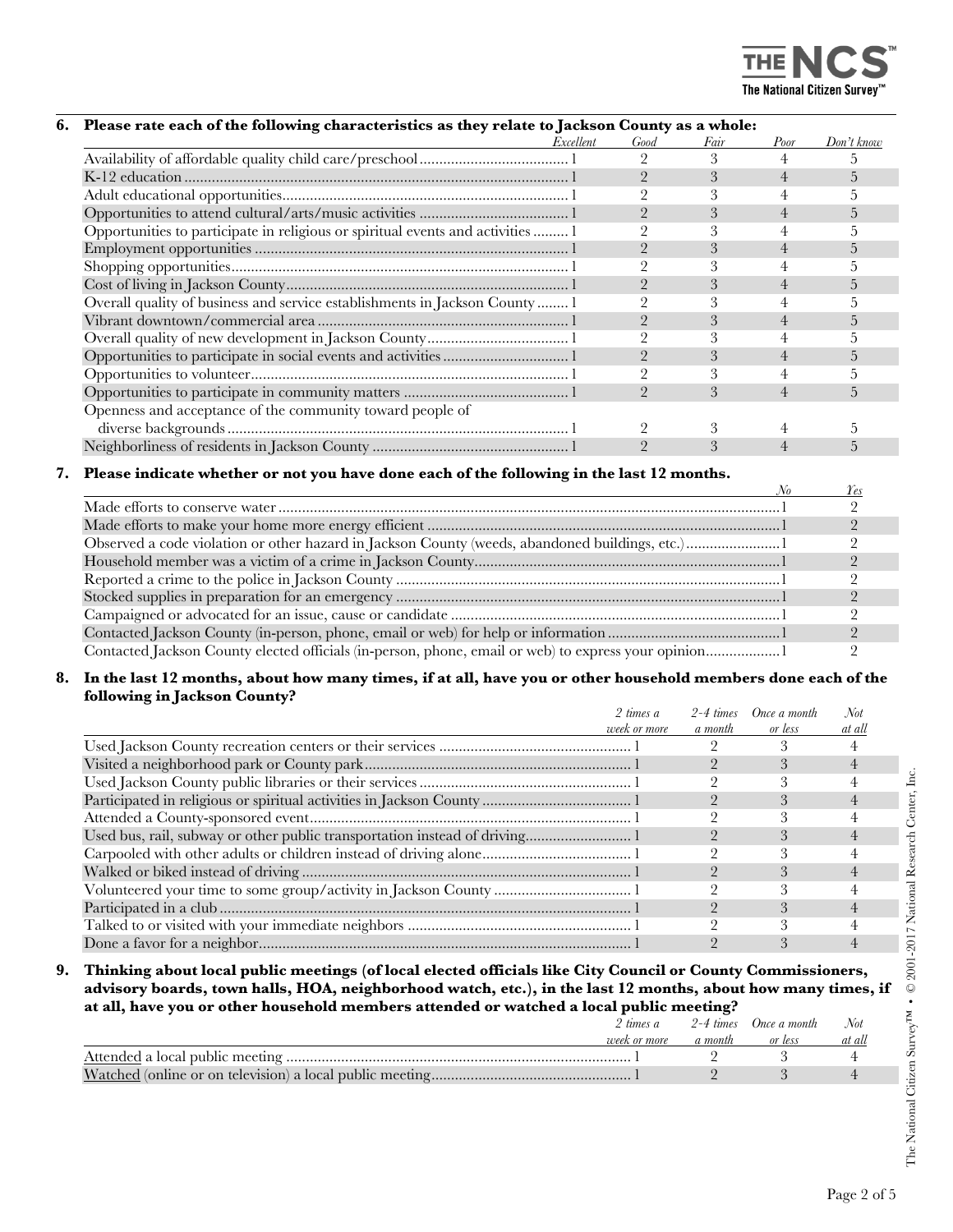

### **6. Please rate each of the following characteristics as they relate to Jackson County as a whole:**

| o                                                                                                                                                                                                                                                                                                                                                                                                                  | Excellent | Good | Fair | Poor | Don't know |
|--------------------------------------------------------------------------------------------------------------------------------------------------------------------------------------------------------------------------------------------------------------------------------------------------------------------------------------------------------------------------------------------------------------------|-----------|------|------|------|------------|
|                                                                                                                                                                                                                                                                                                                                                                                                                    |           |      |      |      |            |
|                                                                                                                                                                                                                                                                                                                                                                                                                    |           |      |      |      |            |
|                                                                                                                                                                                                                                                                                                                                                                                                                    |           |      |      |      |            |
|                                                                                                                                                                                                                                                                                                                                                                                                                    |           |      | 3    |      |            |
| Opportunities to participate in religious or spiritual events and activities  1                                                                                                                                                                                                                                                                                                                                    |           |      |      |      |            |
|                                                                                                                                                                                                                                                                                                                                                                                                                    |           |      |      |      |            |
|                                                                                                                                                                                                                                                                                                                                                                                                                    |           |      |      |      |            |
| $\fbox{ shopping opportunities.}\label{prop:opt1} \begin{minipage}{0.9\textwidth} \begin{tabular}{ c c c } \hline \textbf{Shopping opportunities.}\hspace{0.08in} & \textbf{1} & \textbf{0.0001} & \textbf{0.0001} & \textbf{0.0001} & \textbf{0.0001} & \textbf{0.0001} & \textbf{0.0001} & \textbf{0.0001} & \textbf{0.0001} & \textbf{0.0001} & \textbf{0.0001} & \textbf{0.0001} & \textbf{0.0001} & \textbf{$ |           |      |      |      |            |
| Overall quality of business and service establishments in Jackson County  1                                                                                                                                                                                                                                                                                                                                        |           |      |      |      |            |
|                                                                                                                                                                                                                                                                                                                                                                                                                    |           |      |      |      |            |
|                                                                                                                                                                                                                                                                                                                                                                                                                    |           |      |      |      |            |
|                                                                                                                                                                                                                                                                                                                                                                                                                    |           |      | 3    | 4    |            |
|                                                                                                                                                                                                                                                                                                                                                                                                                    |           |      |      |      |            |
|                                                                                                                                                                                                                                                                                                                                                                                                                    |           |      | 3    | 4    |            |
| Openness and acceptance of the community toward people of                                                                                                                                                                                                                                                                                                                                                          |           |      |      |      |            |
|                                                                                                                                                                                                                                                                                                                                                                                                                    |           |      |      |      |            |
|                                                                                                                                                                                                                                                                                                                                                                                                                    |           |      |      |      |            |

### **7. Please indicate whether or not you have done each of the following in the last 12 months.**

| Contacted Jackson County elected officials (in-person, phone, email or web) to express your opinion1 |  |
|------------------------------------------------------------------------------------------------------|--|

### **8. In the last 12 months, about how many times, if at all, have you or other household members done each of the following in Jackson County?**

|                                                                            | $2 \times a$ | $2-4 \; times$ | Once a month | . Not  |  |
|----------------------------------------------------------------------------|--------------|----------------|--------------|--------|--|
|                                                                            | week or more | a month        | or less      | at all |  |
|                                                                            |              |                |              |        |  |
|                                                                            |              |                |              |        |  |
|                                                                            |              |                |              |        |  |
|                                                                            |              |                |              |        |  |
|                                                                            |              |                |              |        |  |
| Used bus, rail, subway or other public transportation instead of driving 1 |              |                |              |        |  |
|                                                                            |              |                |              |        |  |
|                                                                            |              |                |              |        |  |
|                                                                            |              |                |              |        |  |
|                                                                            |              |                |              |        |  |
|                                                                            |              |                |              |        |  |
|                                                                            |              |                |              |        |  |

**9. Thinking about local public meetings (of local elected officials like City Council or County Commissioners, advisory boards, town halls, HOA, neighborhood watch, etc.), in the last 12 months, about how many times, if at all, have you or other household members attended or watched a local public meeting?**

| $2 \; \text{times} \; a$ |         | 2-4 times Once a month | Not    |
|--------------------------|---------|------------------------|--------|
| <i>rveek or more</i>     | a month | or less                | at all |
|                          |         |                        |        |
|                          |         |                        |        |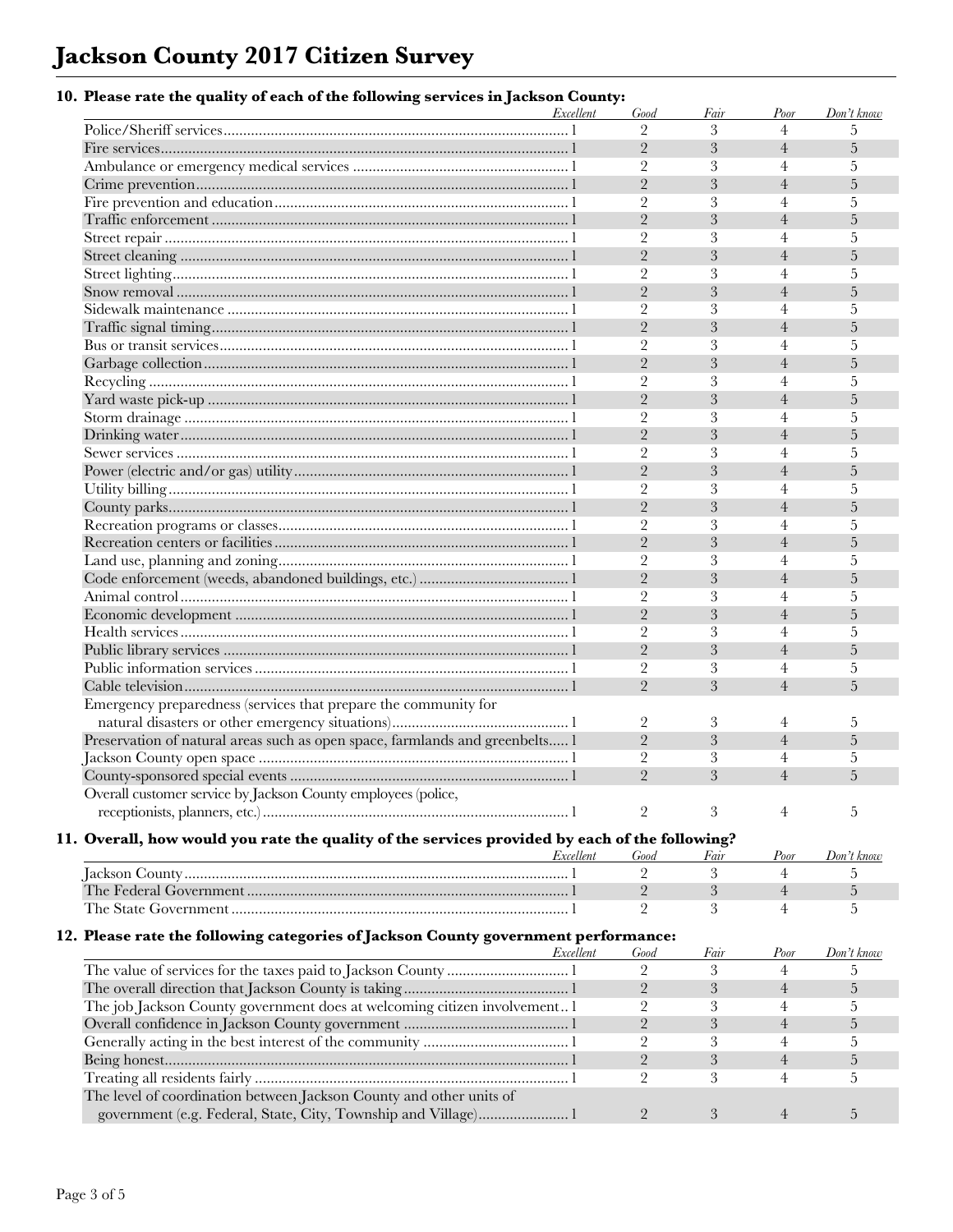# **Jackson County 2017 Citizen Survey**

### **10. Please rate the quality of each of the following services in Jackson County:**

|                                                                                                | Excellent | Good           | Fair           | Poor           | Don't know |
|------------------------------------------------------------------------------------------------|-----------|----------------|----------------|----------------|------------|
|                                                                                                |           | $\overline{2}$ | 3              | 4              | 5          |
|                                                                                                |           | $\overline{2}$ | 3              | $\overline{4}$ | 5          |
|                                                                                                |           | $\overline{2}$ | 3              | 4              | 5          |
|                                                                                                |           | $\overline{2}$ | $\mathfrak{Z}$ | $\overline{4}$ | 5          |
|                                                                                                |           | $\overline{2}$ | 3              | 4              | 5          |
|                                                                                                |           | $\overline{2}$ | $\mathfrak{Z}$ | $\overline{4}$ | 5          |
|                                                                                                |           | $\overline{2}$ | 3              | 4              | 5          |
|                                                                                                |           | $\overline{2}$ | 3              | $\overline{4}$ | 5          |
|                                                                                                |           | $\overline{2}$ | 3              | 4              | 5          |
|                                                                                                |           | $\overline{2}$ | 3              | $\overline{4}$ | 5          |
|                                                                                                |           | $\overline{2}$ | 3              | 4              | 5          |
|                                                                                                |           | $\overline{2}$ | 3              | $\overline{4}$ | 5          |
|                                                                                                |           | $\overline{2}$ | 3              | 4              | 5          |
|                                                                                                |           | $\overline{2}$ | 3              | 4              | 5          |
|                                                                                                |           | $\overline{2}$ | 3              | 4              | 5          |
|                                                                                                |           | $\overline{2}$ | 3              | $\overline{4}$ | 5          |
|                                                                                                |           | $\overline{2}$ |                |                |            |
|                                                                                                |           |                | 3              | 4              | 5          |
|                                                                                                |           | $\overline{2}$ | $\mathfrak{Z}$ | $\overline{4}$ | 5          |
|                                                                                                |           | $\overline{2}$ | 3              | 4              | 5          |
|                                                                                                |           | $\overline{2}$ | $\mathfrak{Z}$ | $\overline{4}$ | 5          |
|                                                                                                |           | $\overline{2}$ | 3              | 4              | 5          |
|                                                                                                |           | $\overline{2}$ | 3              | $\overline{4}$ | 5          |
|                                                                                                |           | $\overline{2}$ | 3              | 4              | 5          |
|                                                                                                |           | $\overline{2}$ | 3              | $\overline{4}$ | 5          |
|                                                                                                |           | $\overline{2}$ | 3              | 4              | 5          |
|                                                                                                |           | $\overline{2}$ | 3              | 4              | 5          |
|                                                                                                |           | $\overline{2}$ | 3              | 4              | 5          |
|                                                                                                |           | $\overline{2}$ | 3              | $\overline{4}$ | 5          |
|                                                                                                |           | $\overline{2}$ | 3              | 4              | 5          |
|                                                                                                |           | $\overline{2}$ | $\mathfrak{Z}$ | $\overline{4}$ | 5          |
|                                                                                                |           | $\overline{2}$ | 3              | 4              | 5          |
|                                                                                                |           | $\overline{2}$ | 3              | $\overline{4}$ | 5          |
| Emergency preparedness (services that prepare the community for                                |           |                |                |                |            |
|                                                                                                |           | $\overline{2}$ | 3              | 4              | 5          |
|                                                                                                |           | $\overline{2}$ | 3              | $\overline{4}$ | 5          |
| Preservation of natural areas such as open space, farmlands and greenbelts 1                   |           |                |                |                |            |
|                                                                                                |           | $\overline{2}$ | 3              | 4              | 5          |
|                                                                                                |           | $\overline{2}$ | 3              | $\overline{4}$ | 5          |
| Overall customer service by Jackson County employees (police,                                  |           |                |                |                |            |
|                                                                                                |           | $\overline{2}$ | 3              | $\overline{4}$ | 5          |
| 11. Overall, how would you rate the quality of the services provided by each of the following? |           |                |                |                |            |
|                                                                                                | Excellent | Good           | Fair           | Poor           | Don't know |
|                                                                                                |           | $\overline{2}$ | 3              | $\overline{4}$ | 5          |
|                                                                                                |           | $\sqrt{2}$     | 3              | 4              | 5          |
|                                                                                                |           | $\overline{2}$ | 3              | $\overline{4}$ | 5          |
|                                                                                                |           |                |                |                |            |
| 12. Please rate the following categories of Jackson County government performance:             |           |                |                |                |            |
|                                                                                                | Excellent | Good           | Fair           | Poor           | Don't know |
|                                                                                                |           | $\overline{2}$ | 3              | 4              | 5          |
|                                                                                                |           | 2              | 3              | 4              | 5          |
| The job Jackson County government does at welcoming citizen involvement 1                      |           | 2              | 3              | 4              | 5          |
|                                                                                                |           | $\overline{2}$ | 3              | 4              | 5          |
|                                                                                                |           | $\overline{2}$ | 3              | 4              | 5          |
|                                                                                                |           | $\overline{2}$ | $\mathfrak{Z}$ | $\overline{4}$ | 5          |
|                                                                                                |           | $\overline{2}$ | 3              | 4              | 5          |
| The level of coordination between Jackson County and other units of                            |           |                |                |                |            |
|                                                                                                |           | $\sqrt{2}$     | 3              | $\overline{4}$ | 5          |
|                                                                                                |           |                |                |                |            |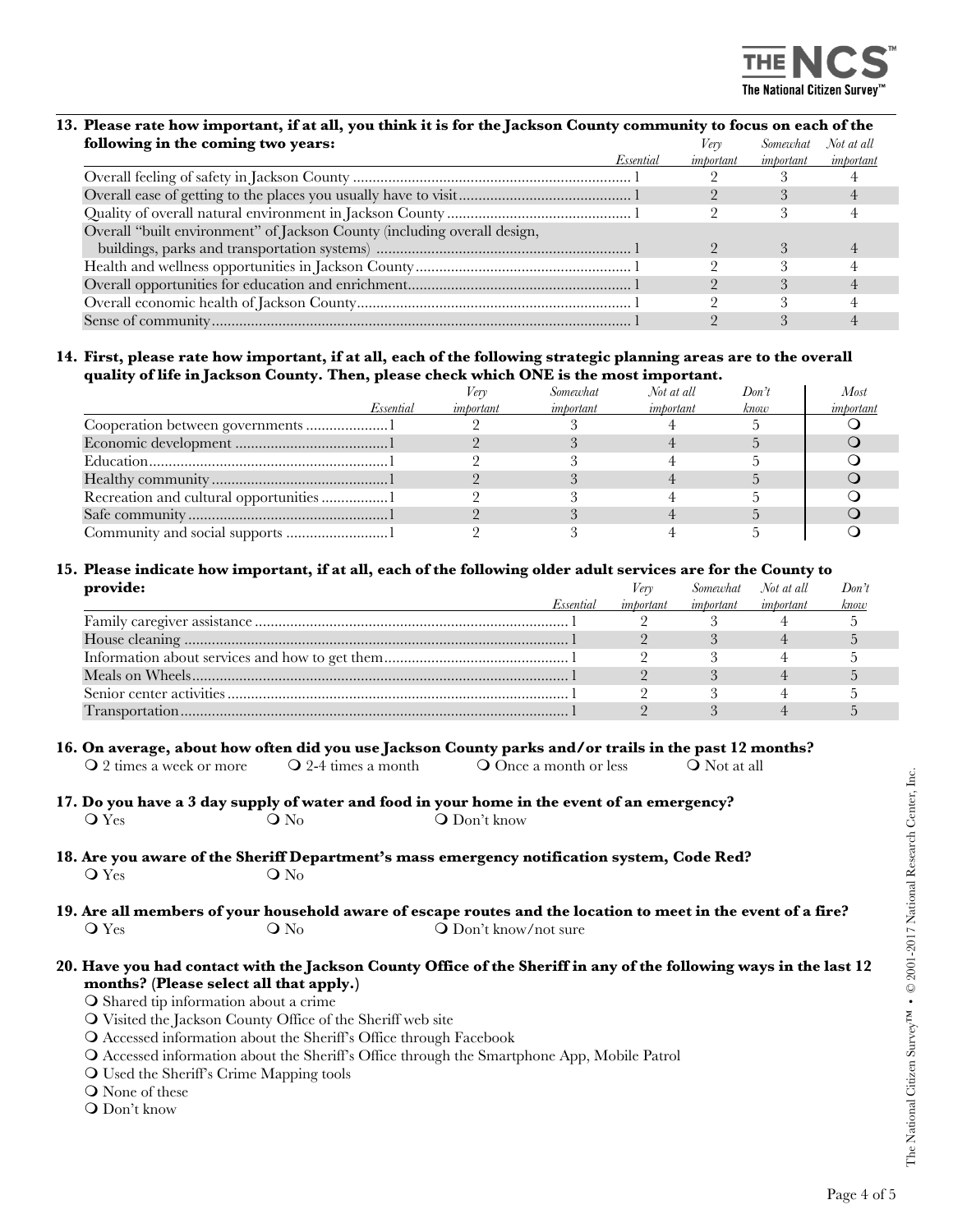

## **13. Please rate how important, if at all, you think it is for the Jackson County community to focus on each of the**

| following in the coming two years:                                       |           | Very      | Somewhat  | Not at all |
|--------------------------------------------------------------------------|-----------|-----------|-----------|------------|
|                                                                          | Essential | important | important | important  |
|                                                                          |           |           |           |            |
|                                                                          |           |           |           |            |
|                                                                          |           |           |           |            |
| Overall "built environment" of Jackson County (including overall design, |           |           |           |            |
|                                                                          |           |           |           |            |
|                                                                          |           |           |           |            |
|                                                                          |           |           |           |            |
|                                                                          |           |           |           |            |
|                                                                          |           |           |           |            |

### **14. First, please rate how important, if at all, each of the following strategic planning areas are to the overall quality of life in Jackson County. Then, please check which ONE is the most important.**

|                                         | <i>Very</i>      | Somewhat         | Not at all | Don't | Most      |
|-----------------------------------------|------------------|------------------|------------|-------|-----------|
| Essential                               | <i>imbortant</i> | <i>imbortant</i> | important  | know  | imbortant |
|                                         |                  |                  |            |       |           |
|                                         |                  |                  |            |       |           |
|                                         |                  |                  |            |       |           |
|                                         |                  |                  |            |       |           |
| Recreation and cultural opportunities 1 |                  |                  |            |       |           |
|                                         |                  |                  |            |       |           |
|                                         |                  |                  |            |       |           |

### **15. Please indicate how important, if at all, each of the following older adult services are for the County to**

| provide:  | Verv      |           | Somewhat Not at all | Don't |
|-----------|-----------|-----------|---------------------|-------|
| Essential | imbortant | imbortant | important           | know  |
|           |           |           |                     |       |
|           |           |           |                     |       |
|           |           |           |                     |       |
|           |           |           |                     |       |
|           |           |           |                     |       |
|           |           |           |                     |       |

### **16. On average, about how often did you use Jackson County parks and/or trails in the past 12 months?**

- Q 2 times a week or more  $\overline{Q}$  2-4 times a month  $\overline{Q}$  Once a month or less  $\overline{Q}$  Not at all
- **17. Do you have a 3 day supply of water and food in your home in the event of an emergency?**  $QY_{\text{es}}$   $QN_0$   $QDon't know$
- **18. Are you aware of the Sheriff Department's mass emergency notification system, Code Red?**   $\overline{Q}$  Yes  $\overline{Q}$  No
- **19. Are all members of your household aware of escape routes and the location to meet in the event of a fire?**  $Q$   $Y_{\text{es}}$   $Q$   $N_0$   $Q$   $D$ on't know/not sure

### **20. Have you had contact with the Jackson County Office of the Sheriff in any of the following ways in the last 12 months? (Please select all that apply.)**

- Shared tip information about a crime
- Visited the Jackson County Office of the Sheriff web site
- Accessed information about the Sheriff's Office through Facebook
- Accessed information about the Sheriff's Office through the Smartphone App, Mobile Patrol
- Used the Sheriff's Crime Mapping tools

None of these

Don't know